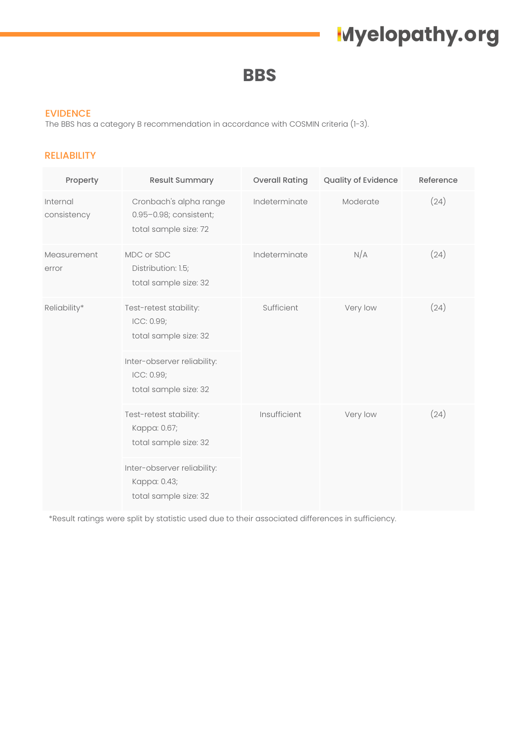# **Myelopathy.org**

### **BBS**

#### EVIDENCE

The BBS has a category B recommendation in accordance with COSMIN criteria (1-3).

### RELIABILITY

| Property                | <b>Result Summary</b>                                                     | <b>Overall Rating</b> | Quality of Evidence | Reference |
|-------------------------|---------------------------------------------------------------------------|-----------------------|---------------------|-----------|
| Internal<br>consistency | Cronbach's alpha range<br>0.95-0.98; consistent;<br>total sample size: 72 | Indeterminate         | Moderate            | (24)      |
| Measurement<br>error    | MDC or SDC<br>Distribution: 1.5;<br>total sample size: 32                 | Indeterminate         | N/A                 | (24)      |
| Reliability*            | Test-retest stability:<br>ICC: 0.99;<br>total sample size: 32             | Sufficient            | Very low            | (24)      |
|                         | Inter-observer reliability:<br>ICC: 0.99;<br>total sample size: 32        |                       |                     |           |
|                         | Test-retest stability:<br>Kappa: 0.67;<br>total sample size: 32           | Insufficient          | Very low            | (24)      |
|                         | Inter-observer reliability:<br>Kappa: 0.43;<br>total sample size: 32      |                       |                     |           |

\*Result ratings were split by statistic used due to their associated differences in sufficiency.